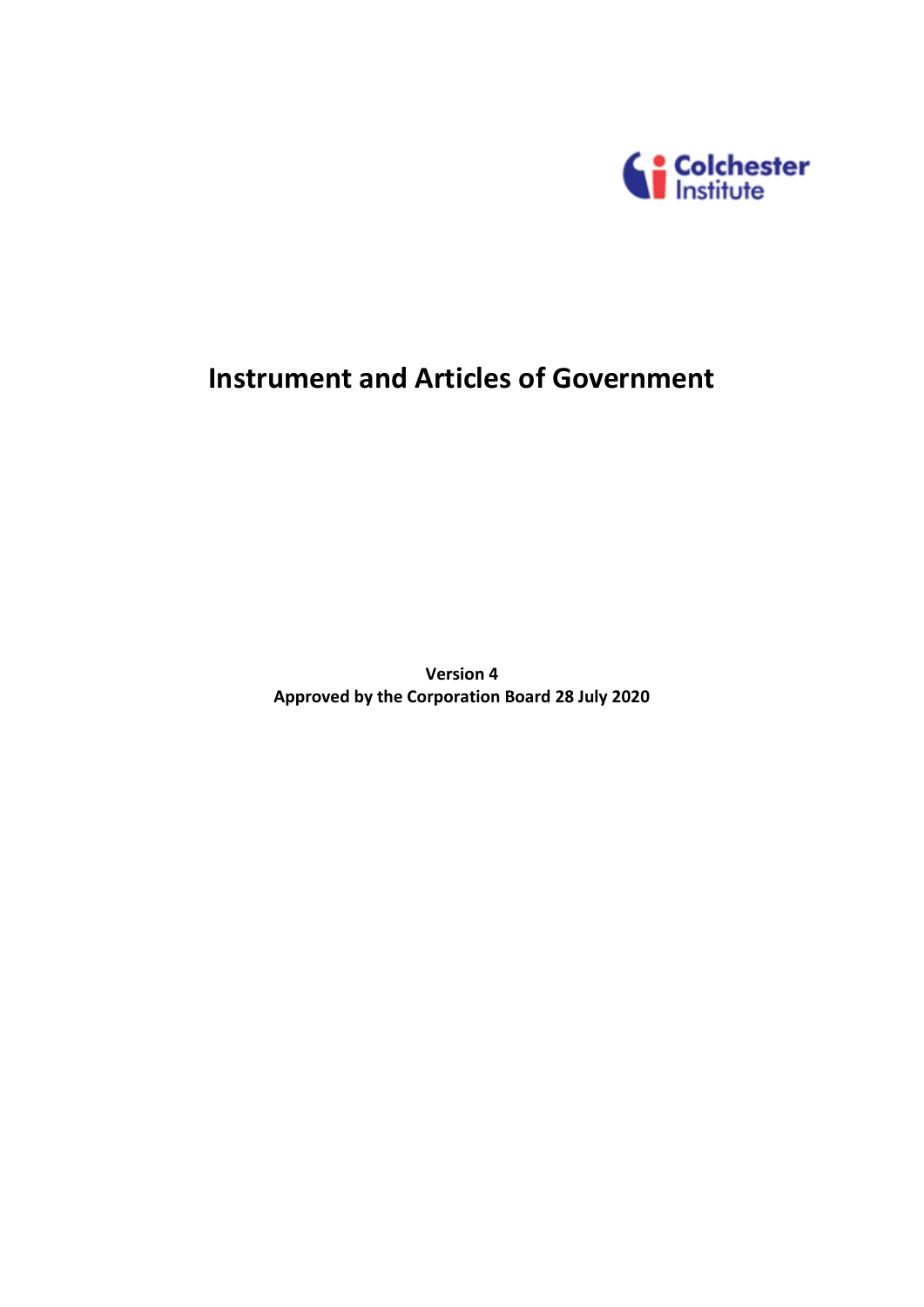

# **Instrument and Articles of Government**

**Version 4 Approved by the Corporation Board 28 July 2020**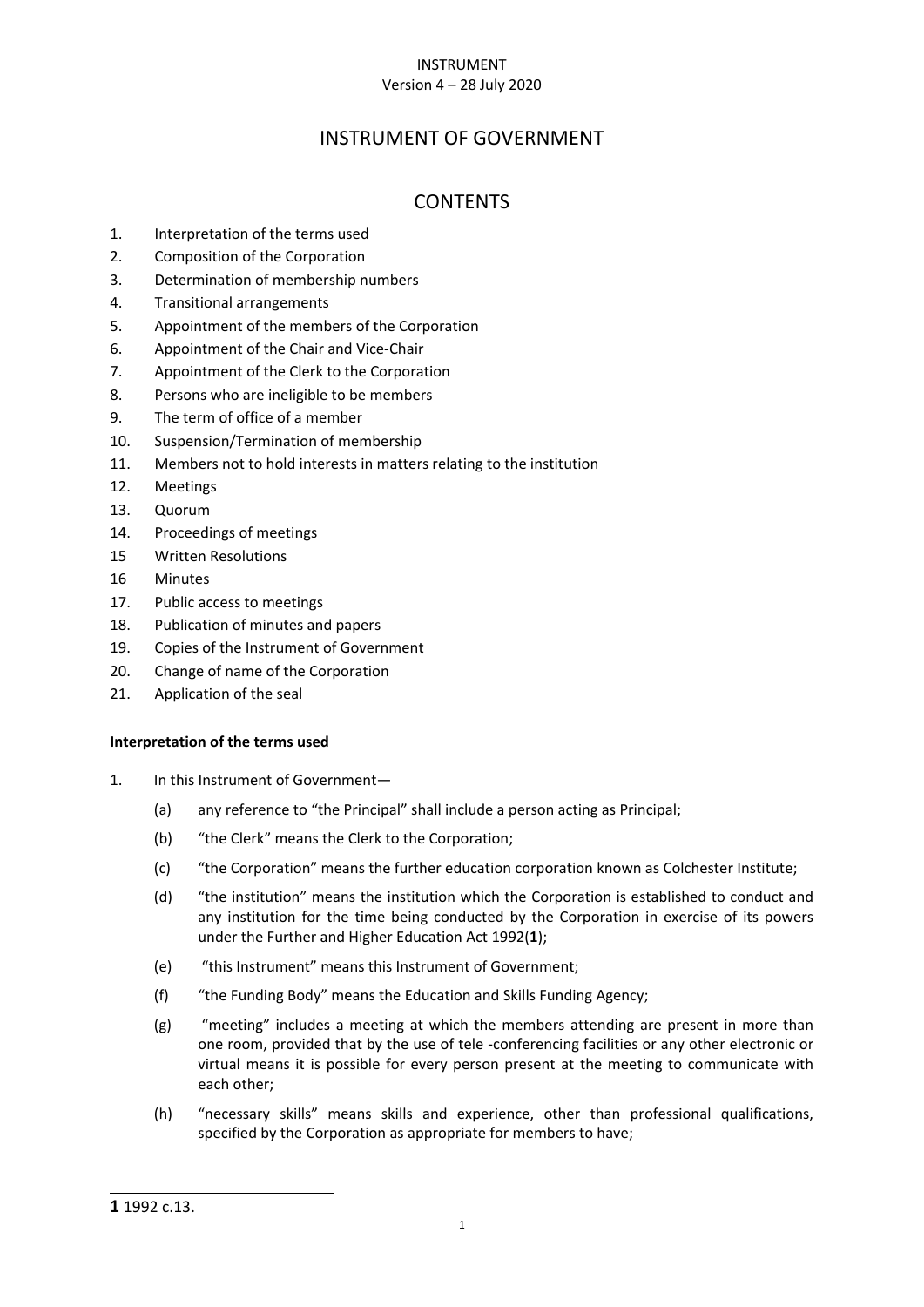# INSTRUMENT Version 4 – 28 July 2020

# INSTRUMENT OF GOVERNMENT

# **CONTENTS**

- 1. [Interpretation of the terms used](#page-1-0)
- 2. [Composition of the Corporation](#page-2-0)
- 3. [Determination of membership numbers](#page-3-0)
- 4. [Transitional arrangements](#page-3-1)
- 5. [Appointment of the members of the Corporation](#page-3-2)
- 6. [Appointment of the Chair and Vice-Chair](#page-4-0)
- 7. [Appointment of the Clerk to the Corporation](#page-4-1)
- 8. [Persons who are ineligible to be members](#page-5-0)
- 9. [The term of office of a member](#page-6-0)
- 10. Suspension[/Termination of membership](#page-6-1)
- 11. [Members not to hold interests in matters relating to the institution](#page-7-0)
- 12. [Meetings](#page-7-1)
- 13. [Quorum](#page-8-0)
- 14. [Proceedings of meetings](#page-8-1)
- 15 Written Resolutions
- 16 [Minutes](#page-9-0)
- 17. [Public access to meetings](#page-10-0)
- 18. [Publication of minutes and papers](#page-10-1)
- 19. [Copies of the Instrument of Government](#page-11-0)
- 20. [Change of name of the Corporation](#page-11-1)
- <span id="page-1-0"></span>21. [Application of the seal](#page-11-2)

# **Interpretation of the terms used**

- 1. In this Instrument of Government—
	- (a) any reference to "the Principal" shall include a person acting as Principal;
	- (b) "the Clerk" means the Clerk to the Corporation;
	- (c) "the Corporation" means the further education corporation known as Colchester Institute;
	- (d) "the institution" means the institution which the Corporation is established to conduct and any institution for the time being conducted by the Corporation in exercise of its powers under the Further and Higher Education Act 1992(**1**);
	- (e) "this Instrument" means this Instrument of Government;
	- (f) "the Funding Body" means the Education and Skills Funding Agency;
	- (g) "meeting" includes a meeting at which the members attending are present in more than one room, provided that by the use of tele -conferencing facilities or any other electronic or virtual means it is possible for every person present at the meeting to communicate with each other;
	- (h) "necessary skills" means skills and experience, other than professional qualifications, specified by the Corporation as appropriate for members to have;

<sup>-</sup>**1** 1992 c.13.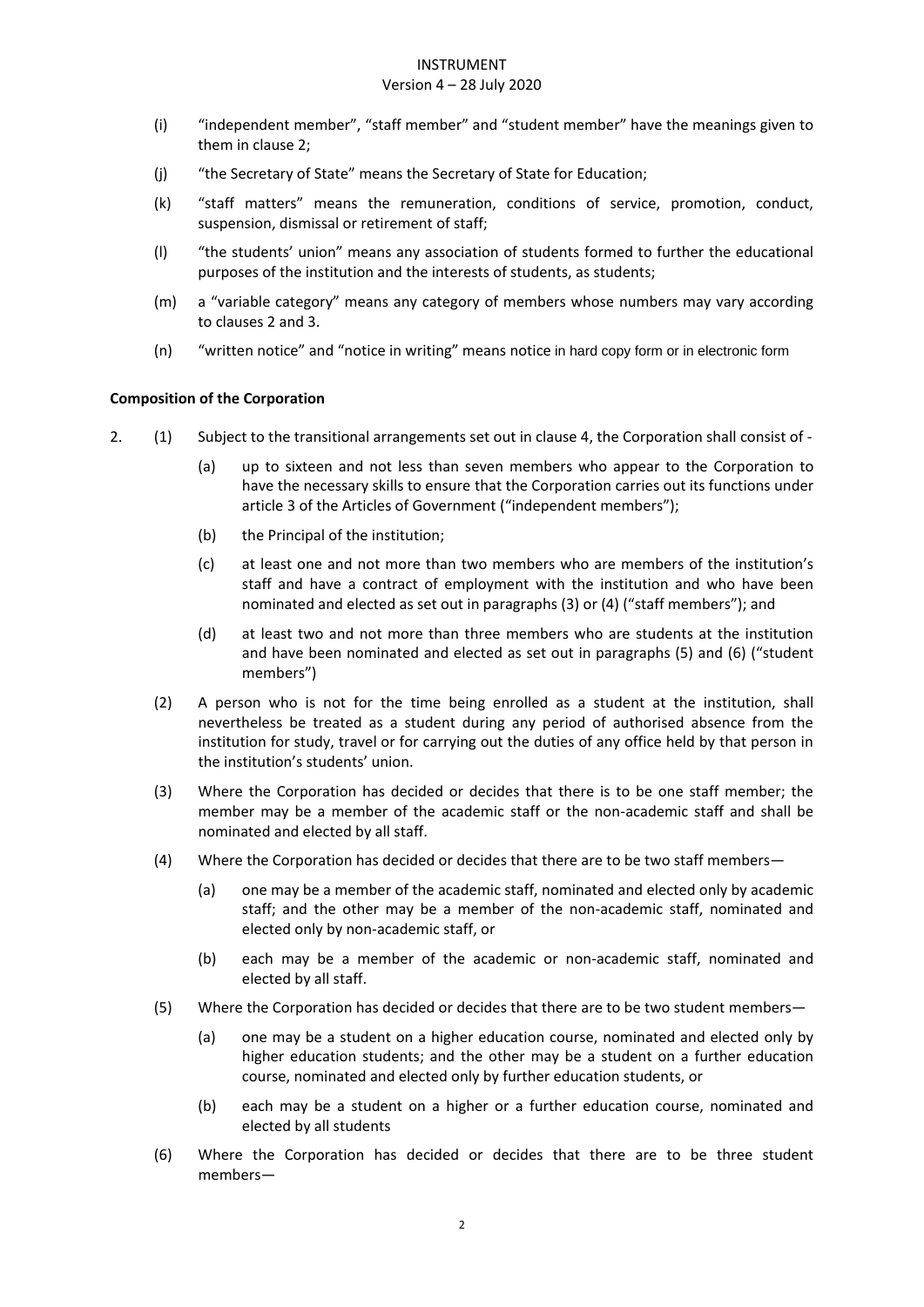#### Version 4 – 28 July 2020

- (i) "independent member", "staff member" and "student member" have the meanings given to them in clause 2;
- (j) "the Secretary of State" means the Secretary of State for Education;
- (k) "staff matters" means the remuneration, conditions of service, promotion, conduct, suspension, dismissal or retirement of staff;
- (l) "the students' union" means any association of students formed to further the educational purposes of the institution and the interests of students, as students;
- (m) a "variable category" means any category of members whose numbers may vary according to clauses 2 and 3.
- (n) "written notice" and "notice in writing" means notice in hard copy form or in electronic form

# <span id="page-2-0"></span>**Composition of the Corporation**

- 2. (1) Subject to the transitional arrangements set out in clause 4, the Corporation shall consist of
	- (a) up to sixteen and not less than seven members who appear to the Corporation to have the necessary skills to ensure that the Corporation carries out its functions under article 3 of the Articles of Government ("independent members");
	- (b) the Principal of the institution;
	- (c) at least one and not more than two members who are members of the institution's staff and have a contract of employment with the institution and who have been nominated and elected as set out in paragraphs (3) or (4) ("staff members"); and
	- (d) at least two and not more than three members who are students at the institution and have been nominated and elected as set out in paragraphs (5) and (6) ("student members")
	- (2) A person who is not for the time being enrolled as a student at the institution, shall nevertheless be treated as a student during any period of authorised absence from the institution for study, travel or for carrying out the duties of any office held by that person in the institution's students' union.
	- (3) Where the Corporation has decided or decides that there is to be one staff member; the member may be a member of the academic staff or the non-academic staff and shall be nominated and elected by all staff.
	- (4) Where the Corporation has decided or decides that there are to be two staff members—
		- (a) one may be a member of the academic staff, nominated and elected only by academic staff; and the other may be a member of the non-academic staff, nominated and elected only by non-academic staff, or
		- (b) each may be a member of the academic or non-academic staff, nominated and elected by all staff.
	- (5) Where the Corporation has decided or decides that there are to be two student members—
		- (a) one may be a student on a higher education course, nominated and elected only by higher education students; and the other may be a student on a further education course, nominated and elected only by further education students, or
		- (b) each may be a student on a higher or a further education course, nominated and elected by all students
	- (6) Where the Corporation has decided or decides that there are to be three student members—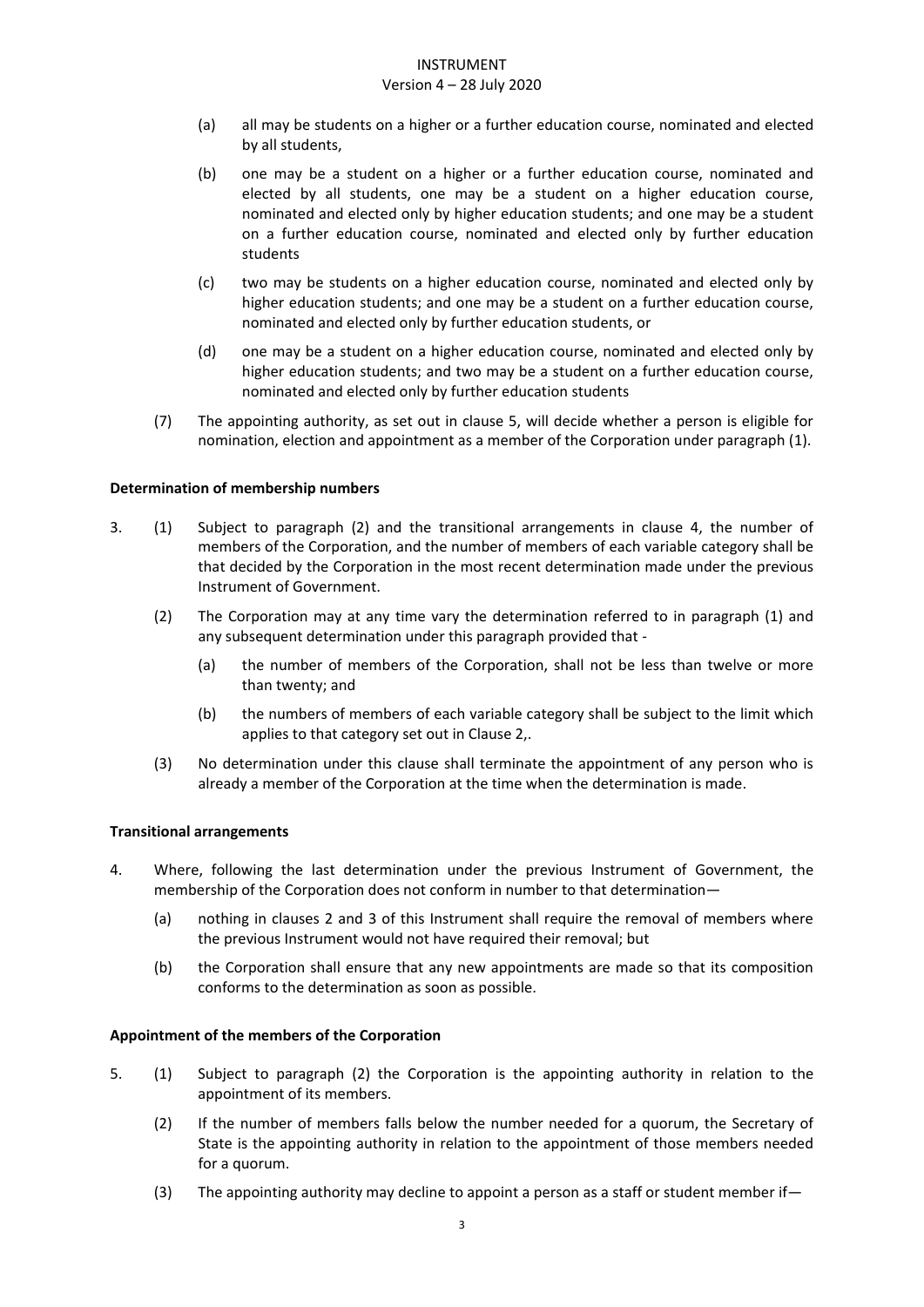#### Version 4 – 28 July 2020

- (a) all may be students on a higher or a further education course, nominated and elected by all students,
- (b) one may be a student on a higher or a further education course, nominated and elected by all students, one may be a student on a higher education course, nominated and elected only by higher education students; and one may be a student on a further education course, nominated and elected only by further education students
- (c) two may be students on a higher education course, nominated and elected only by higher education students; and one may be a student on a further education course, nominated and elected only by further education students, or
- (d) one may be a student on a higher education course, nominated and elected only by higher education students; and two may be a student on a further education course, nominated and elected only by further education students
- (7) The appointing authority, as set out in clause 5, will decide whether a person is eligible for nomination, election and appointment as a member of the Corporation under paragraph (1).

### <span id="page-3-0"></span>**Determination of membership numbers**

- 3. (1) Subject to paragraph (2) and the transitional arrangements in clause 4, the number of members of the Corporation, and the number of members of each variable category shall be that decided by the Corporation in the most recent determination made under the previous Instrument of Government.
	- (2) The Corporation may at any time vary the determination referred to in paragraph (1) and any subsequent determination under this paragraph provided that -
		- (a) the number of members of the Corporation, shall not be less than twelve or more than twenty; and
		- (b) the numbers of members of each variable category shall be subject to the limit which applies to that category set out in Clause 2,.
	- (3) No determination under this clause shall terminate the appointment of any person who is already a member of the Corporation at the time when the determination is made.

# <span id="page-3-1"></span>**Transitional arrangements**

- 4. Where, following the last determination under the previous Instrument of Government, the membership of the Corporation does not conform in number to that determination—
	- (a) nothing in clauses 2 and 3 of this Instrument shall require the removal of members where the previous Instrument would not have required their removal; but
	- (b) the Corporation shall ensure that any new appointments are made so that its composition conforms to the determination as soon as possible.

#### <span id="page-3-2"></span>**Appointment of the members of the Corporation**

- 5. (1) Subject to paragraph (2) the Corporation is the appointing authority in relation to the appointment of its members.
	- (2) If the number of members falls below the number needed for a quorum, the Secretary of State is the appointing authority in relation to the appointment of those members needed for a quorum.
	- (3) The appointing authority may decline to appoint a person as a staff or student member if—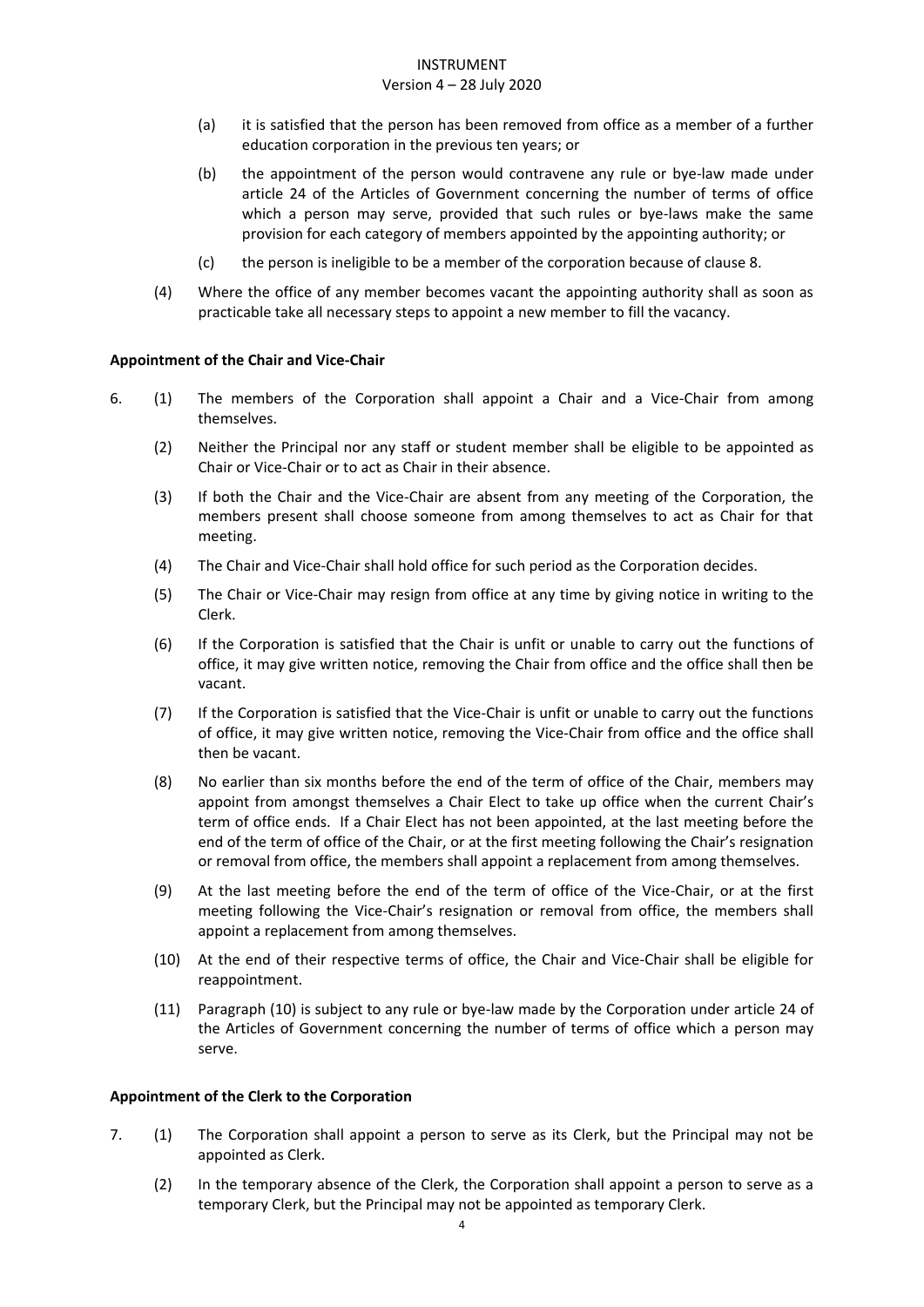### Version 4 – 28 July 2020

- (a) it is satisfied that the person has been removed from office as a member of a further education corporation in the previous ten years; or
- (b) the appointment of the person would contravene any rule or bye-law made under article 24 of the Articles of Government concerning the number of terms of office which a person may serve, provided that such rules or bye-laws make the same provision for each category of members appointed by the appointing authority; or
- (c) the person is ineligible to be a member of the corporation because of clause 8.
- (4) Where the office of any member becomes vacant the appointing authority shall as soon as practicable take all necessary steps to appoint a new member to fill the vacancy.

# <span id="page-4-0"></span>**Appointment of the Chair and Vice-Chair**

- 6. (1) The members of the Corporation shall appoint a Chair and a Vice-Chair from among themselves.
	- (2) Neither the Principal nor any staff or student member shall be eligible to be appointed as Chair or Vice-Chair or to act as Chair in their absence.
	- (3) If both the Chair and the Vice-Chair are absent from any meeting of the Corporation, the members present shall choose someone from among themselves to act as Chair for that meeting.
	- (4) The Chair and Vice-Chair shall hold office for such period as the Corporation decides.
	- (5) The Chair or Vice-Chair may resign from office at any time by giving notice in writing to the Clerk.
	- (6) If the Corporation is satisfied that the Chair is unfit or unable to carry out the functions of office, it may give written notice, removing the Chair from office and the office shall then be vacant.
	- (7) If the Corporation is satisfied that the Vice-Chair is unfit or unable to carry out the functions of office, it may give written notice, removing the Vice-Chair from office and the office shall then be vacant.
	- (8) No earlier than six months before the end of the term of office of the Chair, members may appoint from amongst themselves a Chair Elect to take up office when the current Chair's term of office ends. If a Chair Elect has not been appointed, at the last meeting before the end of the term of office of the Chair, or at the first meeting following the Chair's resignation or removal from office, the members shall appoint a replacement from among themselves.
	- (9) At the last meeting before the end of the term of office of the Vice-Chair, or at the first meeting following the Vice-Chair's resignation or removal from office, the members shall appoint a replacement from among themselves.
	- (10) At the end of their respective terms of office, the Chair and Vice-Chair shall be eligible for reappointment.
	- (11) Paragraph (10) is subject to any rule or bye-law made by the Corporation under article 24 of the Articles of Government concerning the number of terms of office which a person may serve.

# <span id="page-4-1"></span>**Appointment of the Clerk to the Corporation**

- 7. (1) The Corporation shall appoint a person to serve as its Clerk, but the Principal may not be appointed as Clerk.
	- (2) In the temporary absence of the Clerk, the Corporation shall appoint a person to serve as a temporary Clerk, but the Principal may not be appointed as temporary Clerk.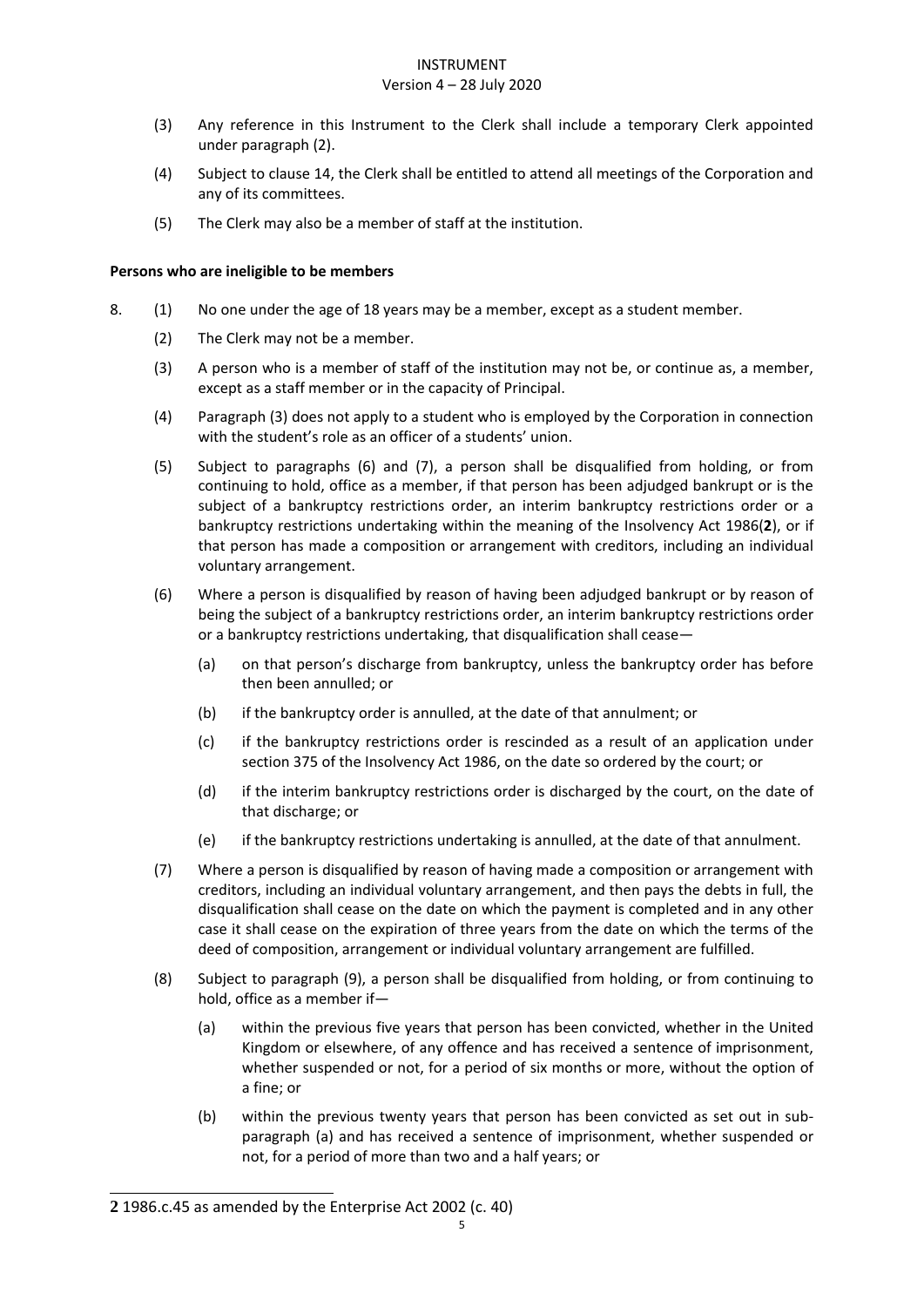#### Version 4 – 28 July 2020

- (3) Any reference in this Instrument to the Clerk shall include a temporary Clerk appointed under paragraph (2).
- (4) Subject to clause 14, the Clerk shall be entitled to attend all meetings of the Corporation and any of its committees.
- (5) The Clerk may also be a member of staff at the institution.

# <span id="page-5-0"></span>**Persons who are ineligible to be members**

- 8. (1) No one under the age of 18 years may be a member, except as a student member.
	- (2) The Clerk may not be a member.
	- (3) A person who is a member of staff of the institution may not be, or continue as, a member, except as a staff member or in the capacity of Principal.
	- (4) Paragraph (3) does not apply to a student who is employed by the Corporation in connection with the student's role as an officer of a students' union.
	- (5) Subject to paragraphs (6) and (7), a person shall be disqualified from holding, or from continuing to hold, office as a member, if that person has been adjudged bankrupt or is the subject of a bankruptcy restrictions order, an interim bankruptcy restrictions order or a bankruptcy restrictions undertaking within the meaning of the Insolvency Act 1986(**2**), or if that person has made a composition or arrangement with creditors, including an individual voluntary arrangement.
	- (6) Where a person is disqualified by reason of having been adjudged bankrupt or by reason of being the subject of a bankruptcy restrictions order, an interim bankruptcy restrictions order or a bankruptcy restrictions undertaking, that disqualification shall cease—
		- (a) on that person's discharge from bankruptcy, unless the bankruptcy order has before then been annulled; or
		- (b) if the bankruptcy order is annulled, at the date of that annulment; or
		- (c) if the bankruptcy restrictions order is rescinded as a result of an application under section 375 of the Insolvency Act 1986, on the date so ordered by the court; or
		- (d) if the interim bankruptcy restrictions order is discharged by the court, on the date of that discharge; or
		- (e) if the bankruptcy restrictions undertaking is annulled, at the date of that annulment.
	- (7) Where a person is disqualified by reason of having made a composition or arrangement with creditors, including an individual voluntary arrangement, and then pays the debts in full, the disqualification shall cease on the date on which the payment is completed and in any other case it shall cease on the expiration of three years from the date on which the terms of the deed of composition, arrangement or individual voluntary arrangement are fulfilled.
	- (8) Subject to paragraph (9), a person shall be disqualified from holding, or from continuing to hold, office as a member if—
		- (a) within the previous five years that person has been convicted, whether in the United Kingdom or elsewhere, of any offence and has received a sentence of imprisonment, whether suspended or not, for a period of six months or more, without the option of a fine; or
		- (b) within the previous twenty years that person has been convicted as set out in subparagraph (a) and has received a sentence of imprisonment, whether suspended or not, for a period of more than two and a half years; or

<sup>-</sup>**2** 1986.c.45 as amended by the Enterprise Act 2002 (c. 40)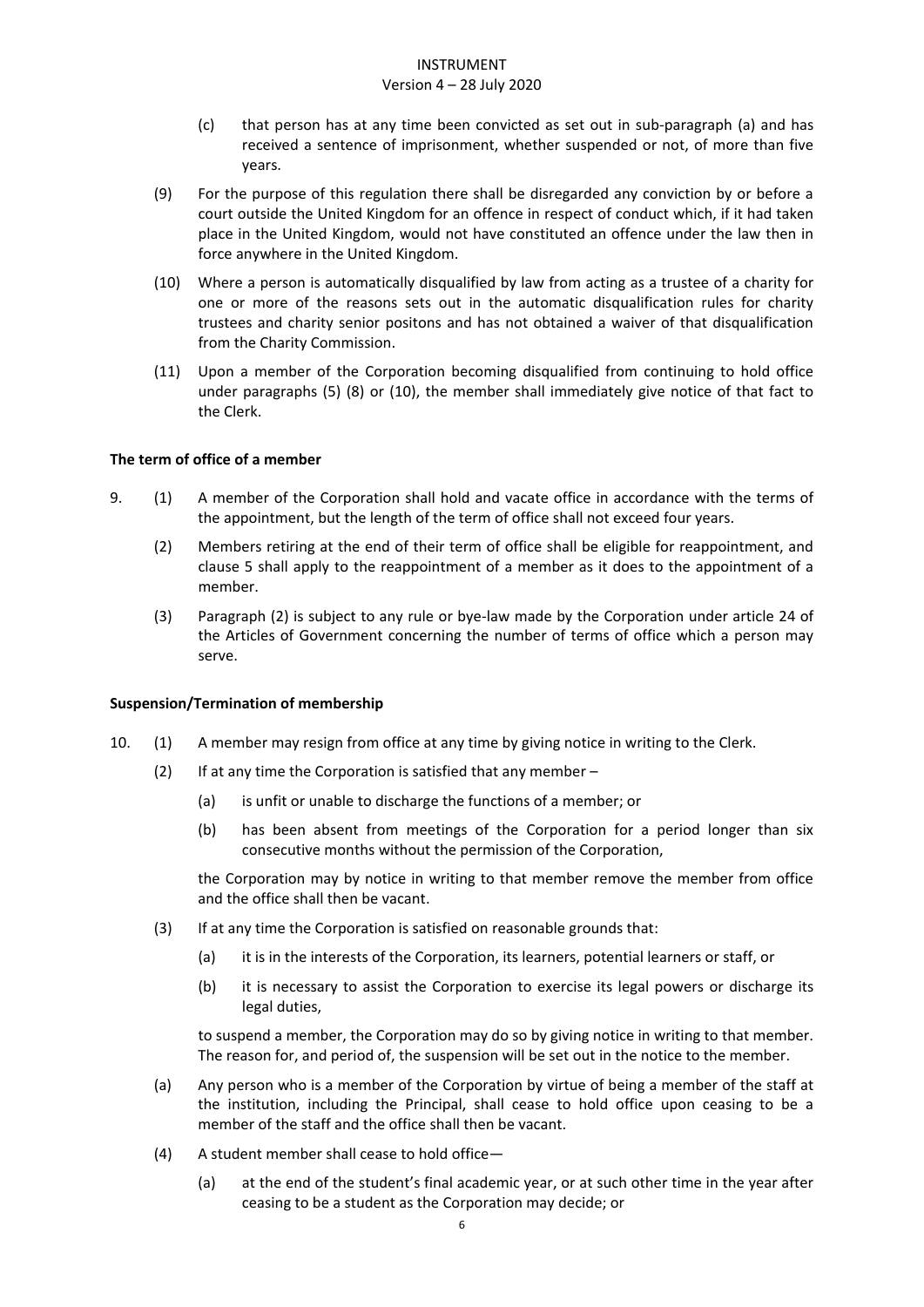#### Version 4 – 28 July 2020

- (c) that person has at any time been convicted as set out in sub-paragraph (a) and has received a sentence of imprisonment, whether suspended or not, of more than five years.
- (9) For the purpose of this regulation there shall be disregarded any conviction by or before a court outside the United Kingdom for an offence in respect of conduct which, if it had taken place in the United Kingdom, would not have constituted an offence under the law then in force anywhere in the United Kingdom.
- (10) Where a person is automatically disqualified by law from acting as a trustee of a charity for one or more of the reasons sets out in the automatic disqualification rules for charity trustees and charity senior positons and has not obtained a waiver of that disqualification from the Charity Commission.
- (11) Upon a member of the Corporation becoming disqualified from continuing to hold office under paragraphs (5) (8) or (10), the member shall immediately give notice of that fact to the Clerk.

# <span id="page-6-0"></span>**The term of office of a member**

- 9. (1) A member of the Corporation shall hold and vacate office in accordance with the terms of the appointment, but the length of the term of office shall not exceed four years.
	- (2) Members retiring at the end of their term of office shall be eligible for reappointment, and clause 5 shall apply to the reappointment of a member as it does to the appointment of a member.
	- (3) Paragraph (2) is subject to any rule or bye-law made by the Corporation under article 24 of the Articles of Government concerning the number of terms of office which a person may serve.

# <span id="page-6-1"></span>**Suspension/Termination of membership**

- 10. (1) A member may resign from office at any time by giving notice in writing to the Clerk.
	- (2) If at any time the Corporation is satisfied that any member  $-$ 
		- (a) is unfit or unable to discharge the functions of a member; or
		- (b) has been absent from meetings of the Corporation for a period longer than six consecutive months without the permission of the Corporation,

the Corporation may by notice in writing to that member remove the member from office and the office shall then be vacant.

- (3) If at any time the Corporation is satisfied on reasonable grounds that:
	- (a) it is in the interests of the Corporation, its learners, potential learners or staff, or
	- (b) it is necessary to assist the Corporation to exercise its legal powers or discharge its legal duties,

to suspend a member, the Corporation may do so by giving notice in writing to that member. The reason for, and period of, the suspension will be set out in the notice to the member.

- (a) Any person who is a member of the Corporation by virtue of being a member of the staff at the institution, including the Principal, shall cease to hold office upon ceasing to be a member of the staff and the office shall then be vacant.
- (4) A student member shall cease to hold office—
	- (a) at the end of the student's final academic year, or at such other time in the year after ceasing to be a student as the Corporation may decide; or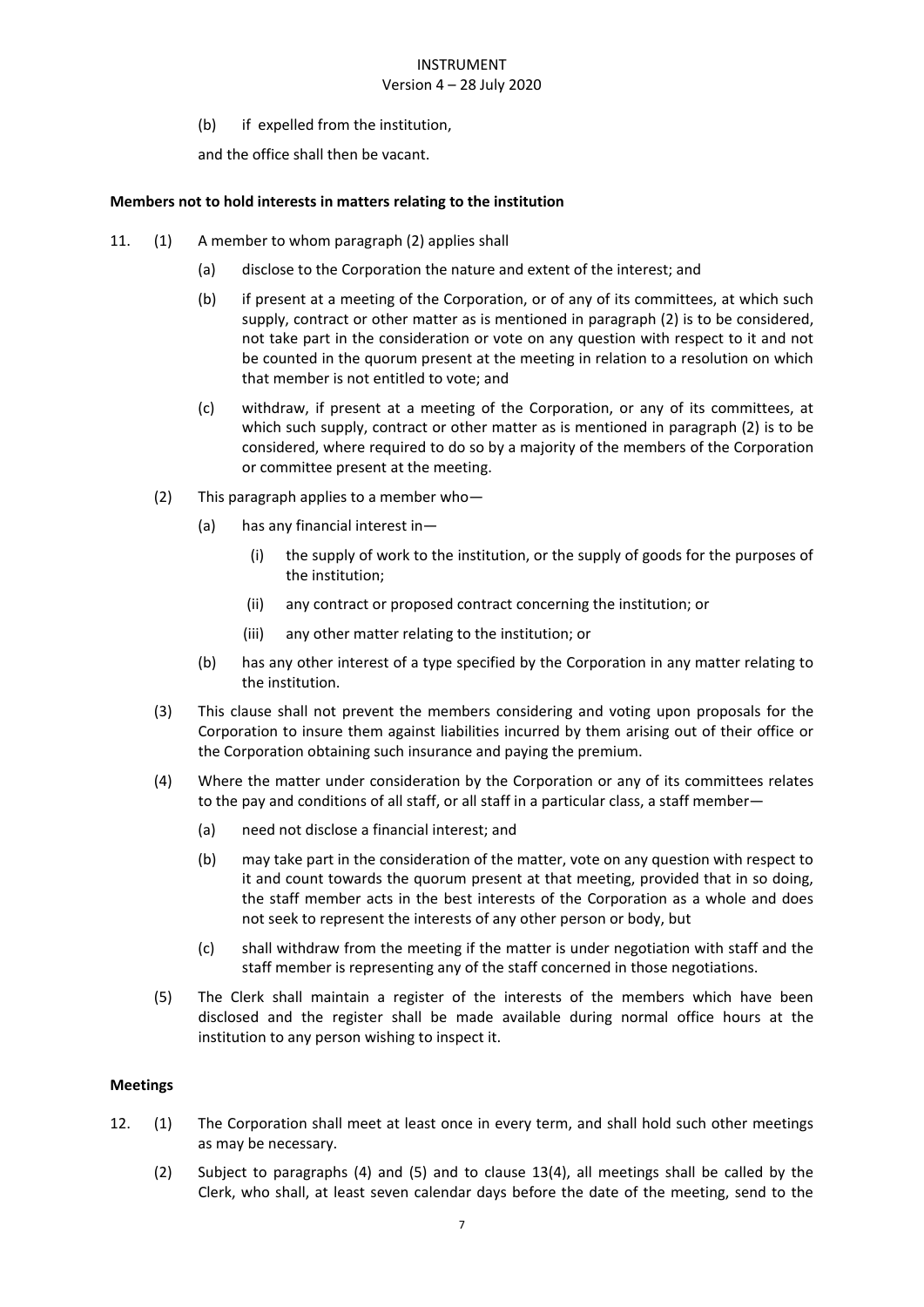# Version 4 – 28 July 2020

(b) if expelled from the institution,

and the office shall then be vacant.

### <span id="page-7-0"></span>**Members not to hold interests in matters relating to the institution**

- 11. (1) A member to whom paragraph (2) applies shall
	- (a) disclose to the Corporation the nature and extent of the interest; and
	- (b) if present at a meeting of the Corporation, or of any of its committees, at which such supply, contract or other matter as is mentioned in paragraph (2) is to be considered, not take part in the consideration or vote on any question with respect to it and not be counted in the quorum present at the meeting in relation to a resolution on which that member is not entitled to vote; and
	- (c) withdraw, if present at a meeting of the Corporation, or any of its committees, at which such supply, contract or other matter as is mentioned in paragraph (2) is to be considered, where required to do so by a majority of the members of the Corporation or committee present at the meeting.
	- (2) This paragraph applies to a member who—
		- (a) has any financial interest in—
			- (i) the supply of work to the institution, or the supply of goods for the purposes of the institution;
			- (ii) any contract or proposed contract concerning the institution; or
			- (iii) any other matter relating to the institution; or
		- (b) has any other interest of a type specified by the Corporation in any matter relating to the institution.
	- (3) This clause shall not prevent the members considering and voting upon proposals for the Corporation to insure them against liabilities incurred by them arising out of their office or the Corporation obtaining such insurance and paying the premium.
	- (4) Where the matter under consideration by the Corporation or any of its committees relates to the pay and conditions of all staff, or all staff in a particular class, a staff member—
		- (a) need not disclose a financial interest; and
		- (b) may take part in the consideration of the matter, vote on any question with respect to it and count towards the quorum present at that meeting, provided that in so doing, the staff member acts in the best interests of the Corporation as a whole and does not seek to represent the interests of any other person or body, but
		- (c) shall withdraw from the meeting if the matter is under negotiation with staff and the staff member is representing any of the staff concerned in those negotiations.
	- (5) The Clerk shall maintain a register of the interests of the members which have been disclosed and the register shall be made available during normal office hours at the institution to any person wishing to inspect it.

#### <span id="page-7-1"></span>**Meetings**

- 12. (1) The Corporation shall meet at least once in every term, and shall hold such other meetings as may be necessary.
	- (2) Subject to paragraphs (4) and (5) and to clause 13(4), all meetings shall be called by the Clerk, who shall, at least seven calendar days before the date of the meeting, send to the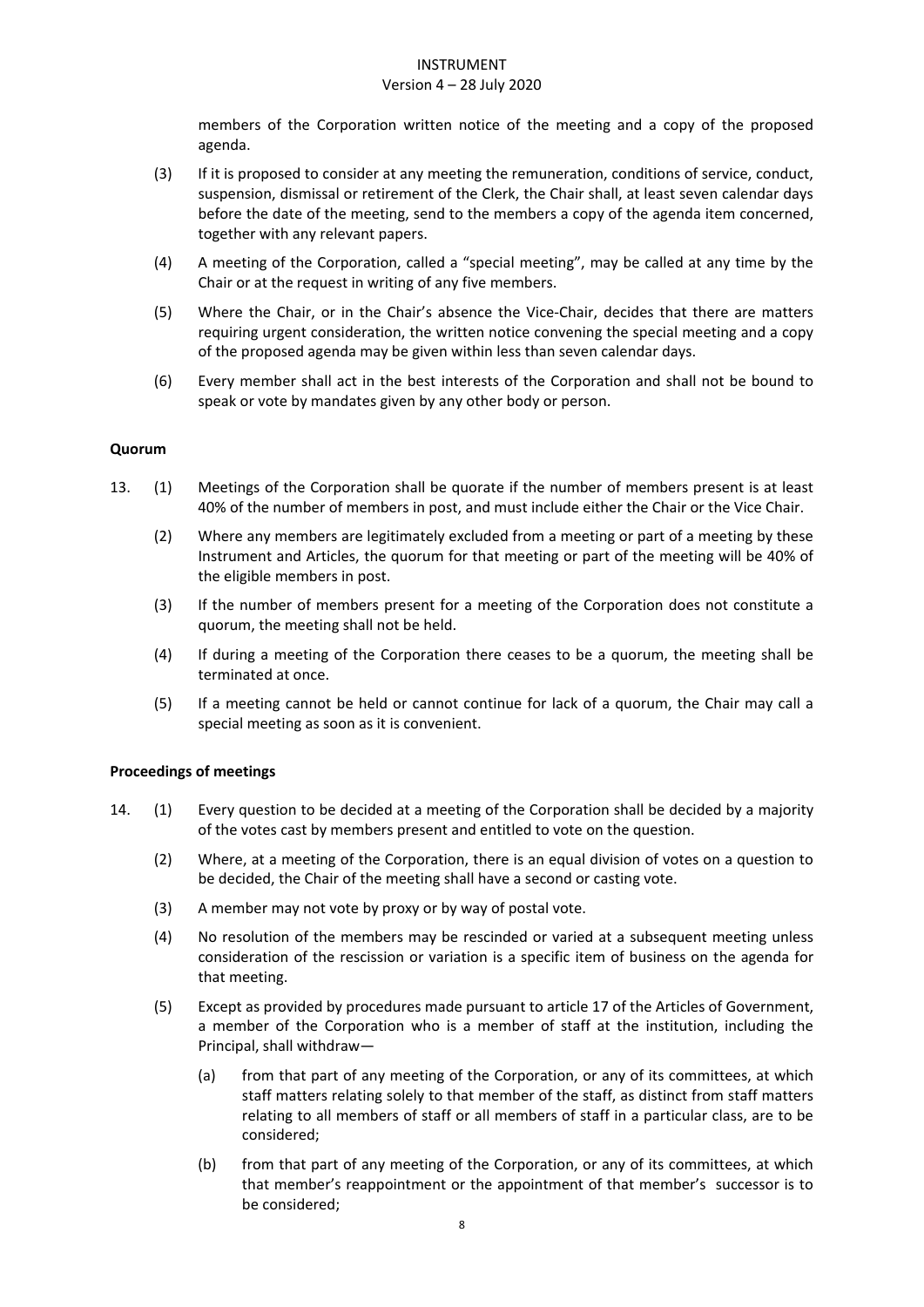#### Version 4 – 28 July 2020

members of the Corporation written notice of the meeting and a copy of the proposed agenda.

- (3) If it is proposed to consider at any meeting the remuneration, conditions of service, conduct, suspension, dismissal or retirement of the Clerk, the Chair shall, at least seven calendar days before the date of the meeting, send to the members a copy of the agenda item concerned, together with any relevant papers.
- (4) A meeting of the Corporation, called a "special meeting", may be called at any time by the Chair or at the request in writing of any five members.
- (5) Where the Chair, or in the Chair's absence the Vice-Chair, decides that there are matters requiring urgent consideration, the written notice convening the special meeting and a copy of the proposed agenda may be given within less than seven calendar days.
- (6) Every member shall act in the best interests of the Corporation and shall not be bound to speak or vote by mandates given by any other body or person.

### <span id="page-8-0"></span>**Quorum**

- 13. (1) Meetings of the Corporation shall be quorate if the number of members present is at least 40% of the number of members in post, and must include either the Chair or the Vice Chair.
	- (2) Where any members are legitimately excluded from a meeting or part of a meeting by these Instrument and Articles, the quorum for that meeting or part of the meeting will be 40% of the eligible members in post.
	- (3) If the number of members present for a meeting of the Corporation does not constitute a quorum, the meeting shall not be held.
	- (4) If during a meeting of the Corporation there ceases to be a quorum, the meeting shall be terminated at once.
	- (5) If a meeting cannot be held or cannot continue for lack of a quorum, the Chair may call a special meeting as soon as it is convenient.

#### <span id="page-8-1"></span>**Proceedings of meetings**

- 14. (1) Every question to be decided at a meeting of the Corporation shall be decided by a majority of the votes cast by members present and entitled to vote on the question.
	- (2) Where, at a meeting of the Corporation, there is an equal division of votes on a question to be decided, the Chair of the meeting shall have a second or casting vote.
	- (3) A member may not vote by proxy or by way of postal vote.
	- (4) No resolution of the members may be rescinded or varied at a subsequent meeting unless consideration of the rescission or variation is a specific item of business on the agenda for that meeting.
	- (5) Except as provided by procedures made pursuant to article 17 of the Articles of Government, a member of the Corporation who is a member of staff at the institution, including the Principal, shall withdraw—
		- (a) from that part of any meeting of the Corporation, or any of its committees, at which staff matters relating solely to that member of the staff, as distinct from staff matters relating to all members of staff or all members of staff in a particular class, are to be considered;
		- (b) from that part of any meeting of the Corporation, or any of its committees, at which that member's reappointment or the appointment of that member's successor is to be considered;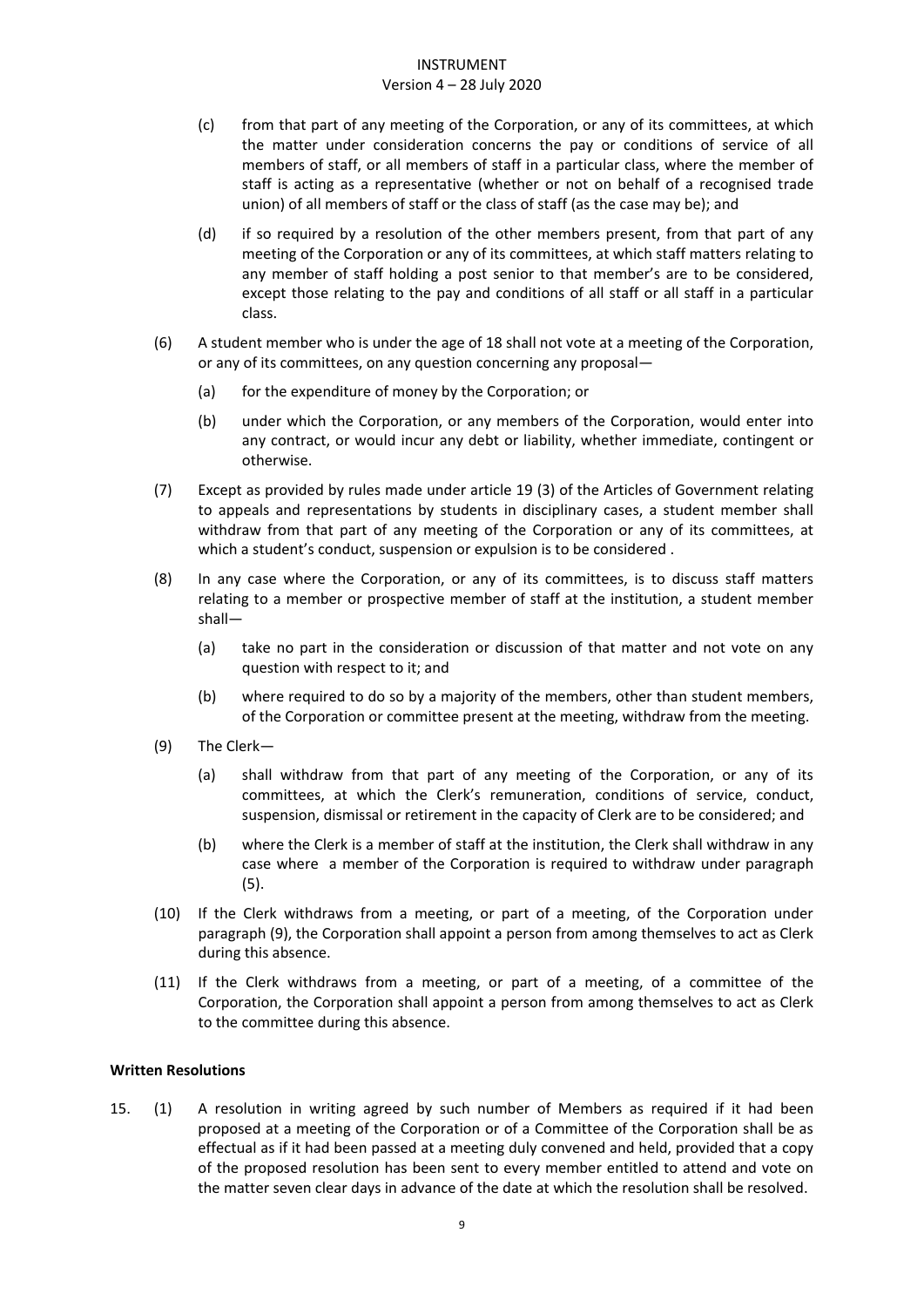#### Version 4 – 28 July 2020

- (c) from that part of any meeting of the Corporation, or any of its committees, at which the matter under consideration concerns the pay or conditions of service of all members of staff, or all members of staff in a particular class, where the member of staff is acting as a representative (whether or not on behalf of a recognised trade union) of all members of staff or the class of staff (as the case may be); and
- (d) if so required by a resolution of the other members present, from that part of any meeting of the Corporation or any of its committees, at which staff matters relating to any member of staff holding a post senior to that member's are to be considered, except those relating to the pay and conditions of all staff or all staff in a particular class.
- (6) A student member who is under the age of 18 shall not vote at a meeting of the Corporation, or any of its committees, on any question concerning any proposal—
	- (a) for the expenditure of money by the Corporation; or
	- (b) under which the Corporation, or any members of the Corporation, would enter into any contract, or would incur any debt or liability, whether immediate, contingent or otherwise.
- (7) Except as provided by rules made under article 19 (3) of the Articles of Government relating to appeals and representations by students in disciplinary cases, a student member shall withdraw from that part of any meeting of the Corporation or any of its committees, at which a student's conduct, suspension or expulsion is to be considered .
- (8) In any case where the Corporation, or any of its committees, is to discuss staff matters relating to a member or prospective member of staff at the institution, a student member shall—
	- (a) take no part in the consideration or discussion of that matter and not vote on any question with respect to it; and
	- (b) where required to do so by a majority of the members, other than student members, of the Corporation or committee present at the meeting, withdraw from the meeting.
- (9) The Clerk—
	- (a) shall withdraw from that part of any meeting of the Corporation, or any of its committees, at which the Clerk's remuneration, conditions of service, conduct, suspension, dismissal or retirement in the capacity of Clerk are to be considered; and
	- (b) where the Clerk is a member of staff at the institution, the Clerk shall withdraw in any case where a member of the Corporation is required to withdraw under paragraph (5).
- (10) If the Clerk withdraws from a meeting, or part of a meeting, of the Corporation under paragraph (9), the Corporation shall appoint a person from among themselves to act as Clerk during this absence.
- (11) If the Clerk withdraws from a meeting, or part of a meeting, of a committee of the Corporation, the Corporation shall appoint a person from among themselves to act as Clerk to the committee during this absence.

# <span id="page-9-0"></span>**Written Resolutions**

15. (1) A resolution in writing agreed by such number of Members as required if it had been proposed at a meeting of the Corporation or of a Committee of the Corporation shall be as effectual as if it had been passed at a meeting duly convened and held, provided that a copy of the proposed resolution has been sent to every member entitled to attend and vote on the matter seven clear days in advance of the date at which the resolution shall be resolved.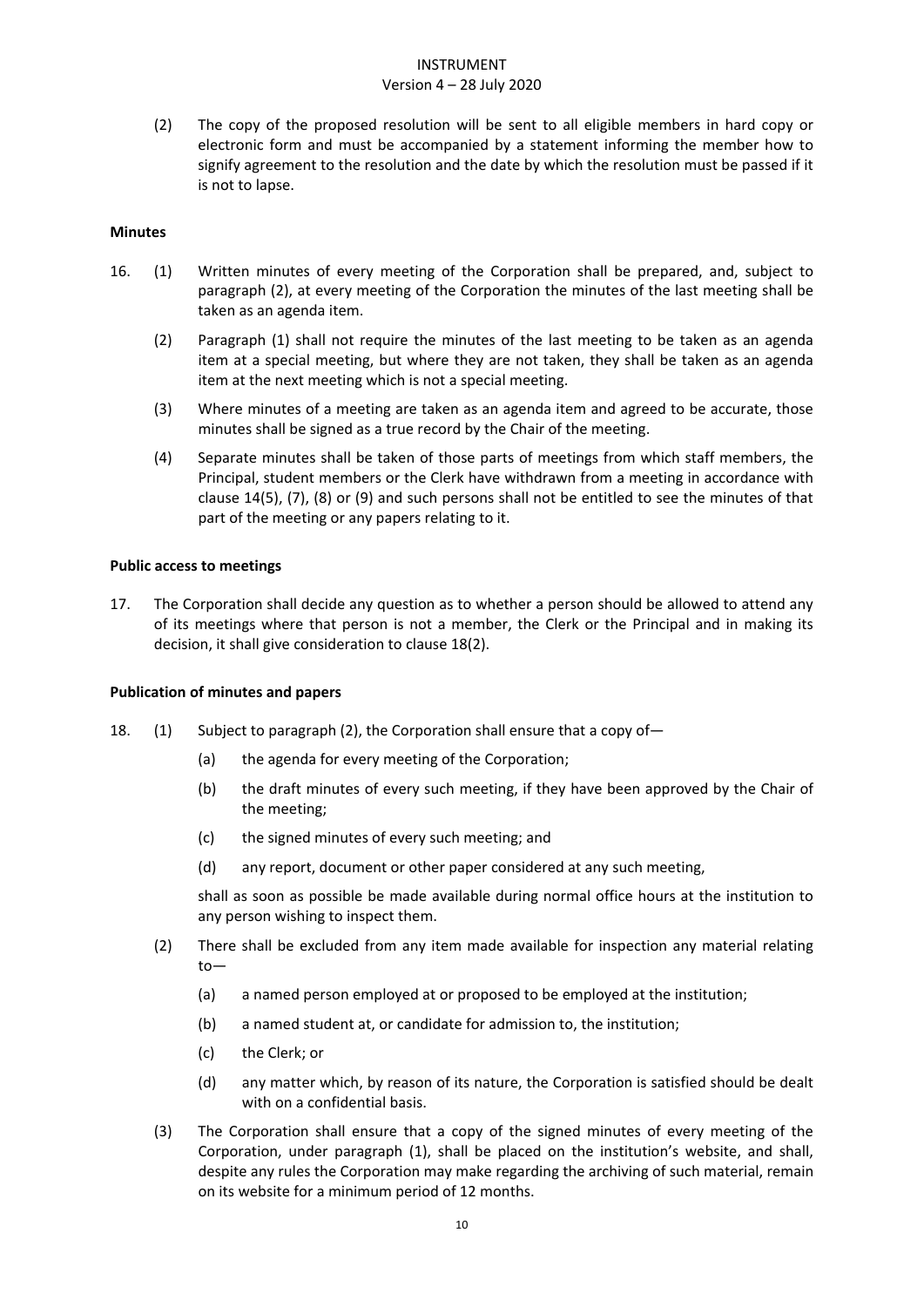# Version 4 – 28 July 2020

(2) The copy of the proposed resolution will be sent to all eligible members in hard copy or electronic form and must be accompanied by a statement informing the member how to signify agreement to the resolution and the date by which the resolution must be passed if it is not to lapse.

# **Minutes**

- 16. (1) Written minutes of every meeting of the Corporation shall be prepared, and, subject to paragraph (2), at every meeting of the Corporation the minutes of the last meeting shall be taken as an agenda item.
	- (2) Paragraph (1) shall not require the minutes of the last meeting to be taken as an agenda item at a special meeting, but where they are not taken, they shall be taken as an agenda item at the next meeting which is not a special meeting.
	- (3) Where minutes of a meeting are taken as an agenda item and agreed to be accurate, those minutes shall be signed as a true record by the Chair of the meeting.
	- (4) Separate minutes shall be taken of those parts of meetings from which staff members, the Principal, student members or the Clerk have withdrawn from a meeting in accordance with clause 14(5), (7), (8) or (9) and such persons shall not be entitled to see the minutes of that part of the meeting or any papers relating to it.

# <span id="page-10-0"></span>**Public access to meetings**

17. The Corporation shall decide any question as to whether a person should be allowed to attend any of its meetings where that person is not a member, the Clerk or the Principal and in making its decision, it shall give consideration to clause 18(2).

# <span id="page-10-1"></span>**Publication of minutes and papers**

- 18. (1) Subject to paragraph (2), the Corporation shall ensure that a copy of—
	- (a) the agenda for every meeting of the Corporation;
	- (b) the draft minutes of every such meeting, if they have been approved by the Chair of the meeting;
	- (c) the signed minutes of every such meeting; and
	- (d) any report, document or other paper considered at any such meeting,

shall as soon as possible be made available during normal office hours at the institution to any person wishing to inspect them.

- (2) There shall be excluded from any item made available for inspection any material relating to—
	- (a) a named person employed at or proposed to be employed at the institution;
	- (b) a named student at, or candidate for admission to, the institution;
	- (c) the Clerk; or
	- (d) any matter which, by reason of its nature, the Corporation is satisfied should be dealt with on a confidential basis.
- (3) The Corporation shall ensure that a copy of the signed minutes of every meeting of the Corporation, under paragraph (1), shall be placed on the institution's website, and shall, despite any rules the Corporation may make regarding the archiving of such material, remain on its website for a minimum period of 12 months.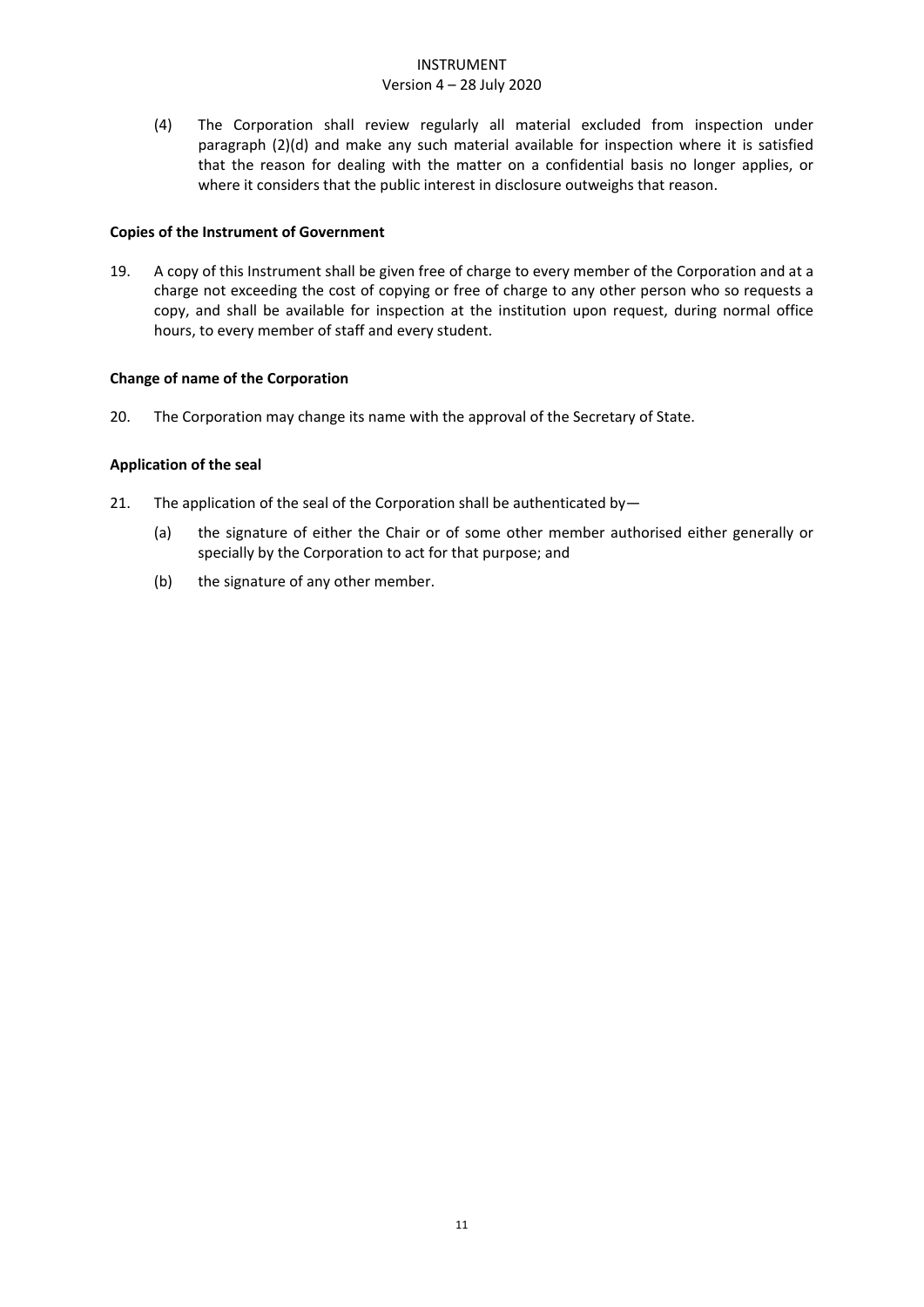# Version 4 – 28 July 2020

(4) The Corporation shall review regularly all material excluded from inspection under paragraph (2)(d) and make any such material available for inspection where it is satisfied that the reason for dealing with the matter on a confidential basis no longer applies, or where it considers that the public interest in disclosure outweighs that reason.

# <span id="page-11-0"></span>**Copies of the Instrument of Government**

19. A copy of this Instrument shall be given free of charge to every member of the Corporation and at a charge not exceeding the cost of copying or free of charge to any other person who so requests a copy, and shall be available for inspection at the institution upon request, during normal office hours, to every member of staff and every student.

# <span id="page-11-1"></span>**Change of name of the Corporation**

20. The Corporation may change its name with the approval of the Secretary of State.

# <span id="page-11-2"></span>**Application of the seal**

- 21. The application of the seal of the Corporation shall be authenticated by-
	- (a) the signature of either the Chair or of some other member authorised either generally or specially by the Corporation to act for that purpose; and
	- (b) the signature of any other member.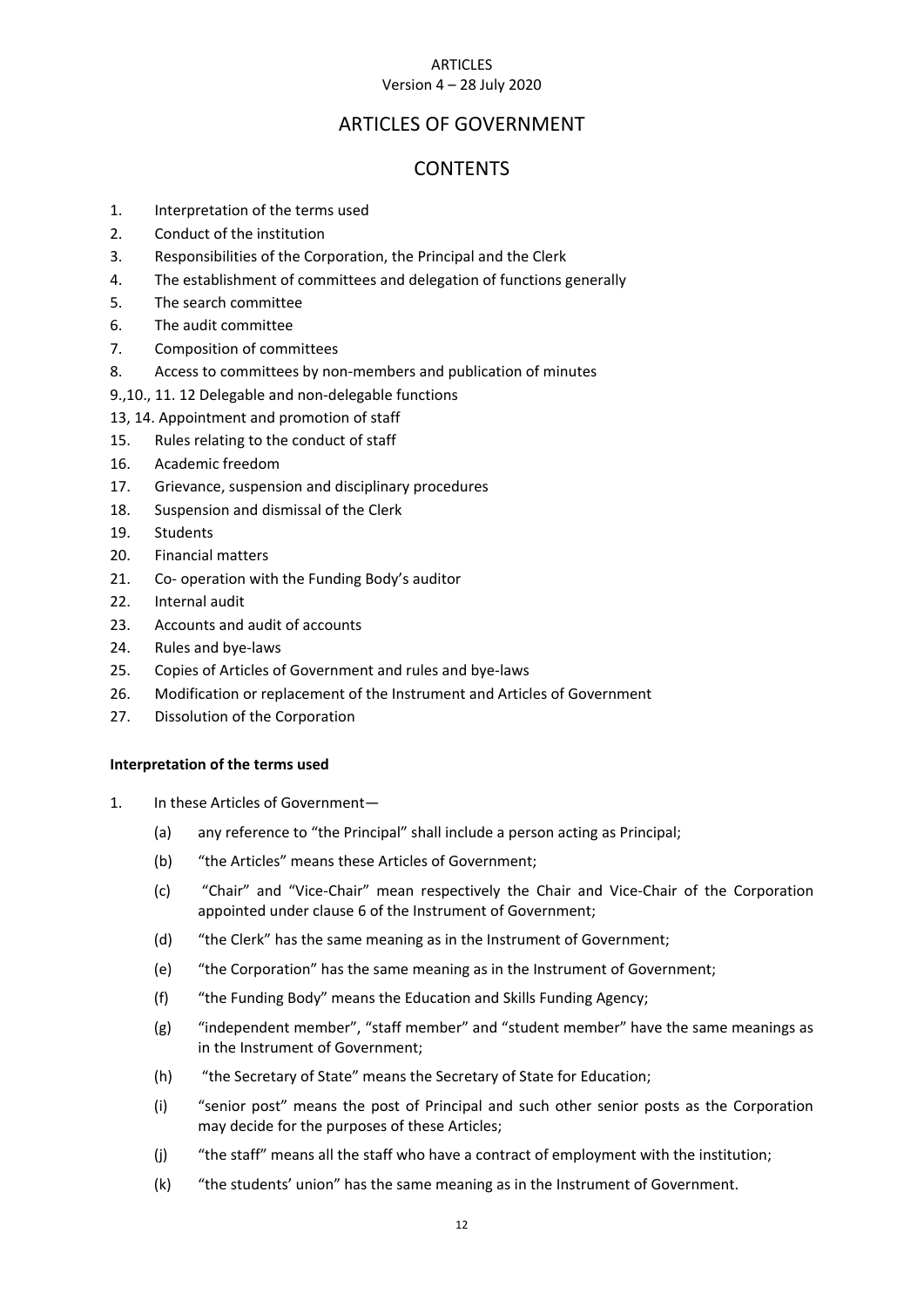#### ARTICLES Version 4 – 28 July 2020

# ARTICLES OF GOVERNMENT

# **CONTENTS**

- 1. [Interpretation of the terms used](#page-12-0)
- 2. [Conduct of the institution](#page-13-0)
- 3. [Responsibilities of the Corporation, the Principal and the Clerk](#page-13-1)
- 4. [The establishment of committees and delegation of functions generally](#page-14-0)
- 5. [The search committee](#page-14-1)
- 6. [The audit committee](#page-14-2)
- 7. [Composition of committees](#page-14-3)
- 8. [Access to committees by non-members and publication of minutes](#page-15-0)
- 9.,10., 1[1. 12 Delegable and non-delegable functions](#page-15-1)
- 13, 14. [Appointment and promotion of staff](#page-15-2)
- 15. [Rules relating to the conduct of staff](#page-16-0)
- 16. [Academic freedom](#page-16-1)
- 17. [Grievance, suspension and disciplinary procedures](#page-16-2)
- 18. [Suspension and dismissal of the Clerk](#page-16-3)
- 19. [Students](#page-17-0)
- 20. [Financial matters](#page-17-1)
- 21. Co- [operation with the](#page-17-2) Funding Body's auditor
- 22. [Internal audit](#page-17-3)
- 23. [Accounts and audit of accounts](#page-17-4)
- 24. [Rules and bye-laws](#page-18-0)
- 25. [Copies of Articles of Government and rules and bye-laws](#page-18-1)
- 26. Modification or replacement of the Instrument and Articles of Government
- <span id="page-12-0"></span>27. Dissolution of the Corporation

# **Interpretation of the terms used**

- 1. In these Articles of Government—
	- (a) any reference to "the Principal" shall include a person acting as Principal;
	- (b) "the Articles" means these Articles of Government;
	- (c) "Chair" and "Vice-Chair" mean respectively the Chair and Vice-Chair of the Corporation appointed under clause 6 of the Instrument of Government;
	- (d) "the Clerk" has the same meaning as in the Instrument of Government;
	- (e) "the Corporation" has the same meaning as in the Instrument of Government;
	- (f) "the Funding Body" means the Education and Skills Funding Agency;
	- (g) "independent member", "staff member" and "student member" have the same meanings as in the Instrument of Government;
	- (h) "the Secretary of State" means the Secretary of State for Education;
	- (i) "senior post" means the post of Principal and such other senior posts as the Corporation may decide for the purposes of these Articles;
	- (j) "the staff" means all the staff who have a contract of employment with the institution;
	- (k) "the students' union" has the same meaning as in the Instrument of Government.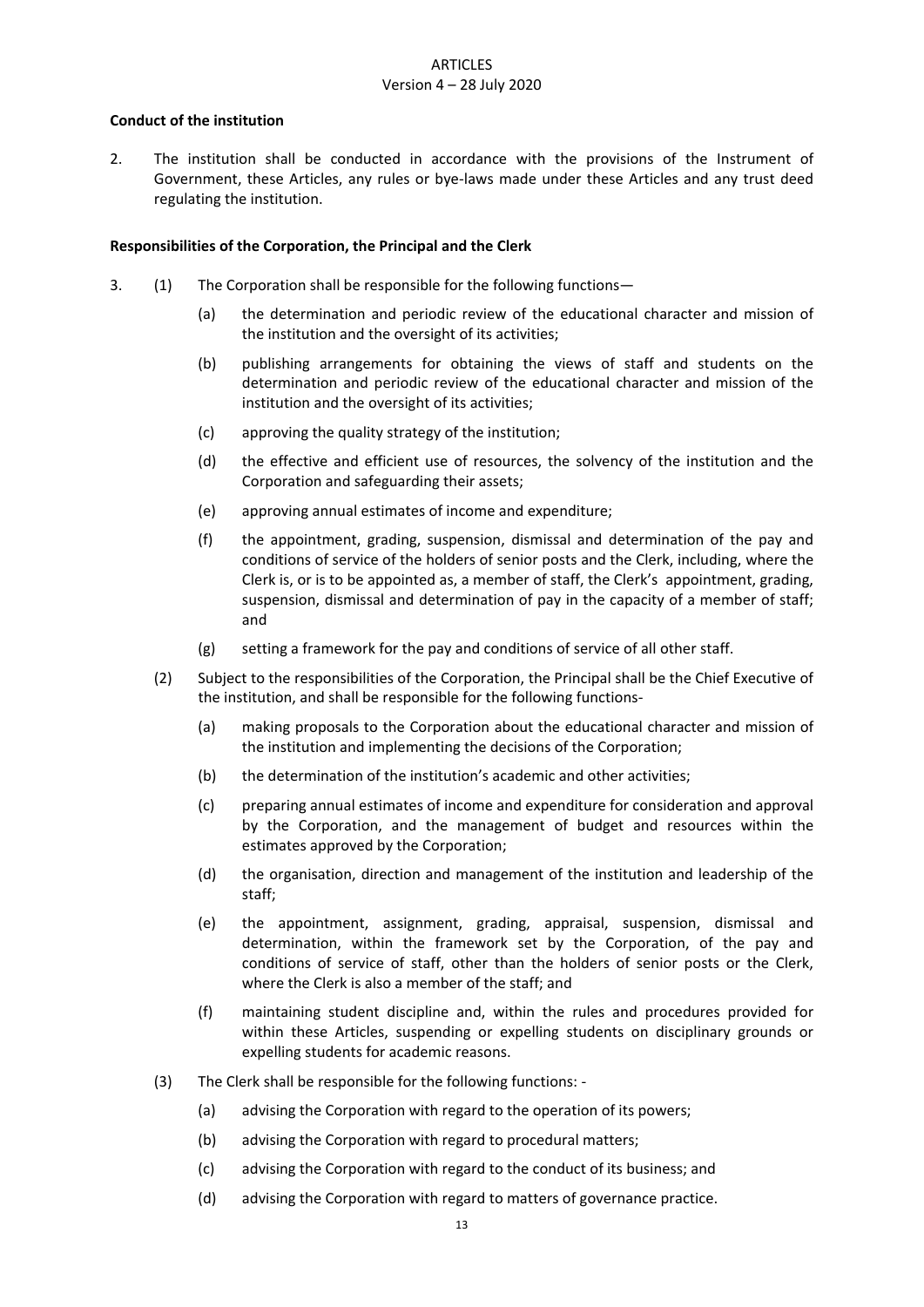#### **ARTICLES** Version 4 – 28 July 2020

### <span id="page-13-0"></span>**Conduct of the institution**

2. The institution shall be conducted in accordance with the provisions of the Instrument of Government, these Articles, any rules or bye-laws made under these Articles and any trust deed regulating the institution.

### <span id="page-13-1"></span>**Responsibilities of the Corporation, the Principal and the Clerk**

- 3. (1) The Corporation shall be responsible for the following functions—
	- (a) the determination and periodic review of the educational character and mission of the institution and the oversight of its activities;
	- (b) publishing arrangements for obtaining the views of staff and students on the determination and periodic review of the educational character and mission of the institution and the oversight of its activities;
	- (c) approving the quality strategy of the institution;
	- (d) the effective and efficient use of resources, the solvency of the institution and the Corporation and safeguarding their assets;
	- (e) approving annual estimates of income and expenditure;
	- (f) the appointment, grading, suspension, dismissal and determination of the pay and conditions of service of the holders of senior posts and the Clerk, including, where the Clerk is, or is to be appointed as, a member of staff, the Clerk's appointment, grading, suspension, dismissal and determination of pay in the capacity of a member of staff; and
	- (g) setting a framework for the pay and conditions of service of all other staff.
	- (2) Subject to the responsibilities of the Corporation, the Principal shall be the Chief Executive of the institution, and shall be responsible for the following functions-
		- (a) making proposals to the Corporation about the educational character and mission of the institution and implementing the decisions of the Corporation;
		- (b) the determination of the institution's academic and other activities;
		- (c) preparing annual estimates of income and expenditure for consideration and approval by the Corporation, and the management of budget and resources within the estimates approved by the Corporation;
		- (d) the organisation, direction and management of the institution and leadership of the staff;
		- (e) the appointment, assignment, grading, appraisal, suspension, dismissal and determination, within the framework set by the Corporation, of the pay and conditions of service of staff, other than the holders of senior posts or the Clerk, where the Clerk is also a member of the staff; and
		- (f) maintaining student discipline and, within the rules and procedures provided for within these Articles, suspending or expelling students on disciplinary grounds or expelling students for academic reasons.
	- (3) The Clerk shall be responsible for the following functions:
		- (a) advising the Corporation with regard to the operation of its powers;
		- (b) advising the Corporation with regard to procedural matters;
		- (c) advising the Corporation with regard to the conduct of its business; and
		- (d) advising the Corporation with regard to matters of governance practice.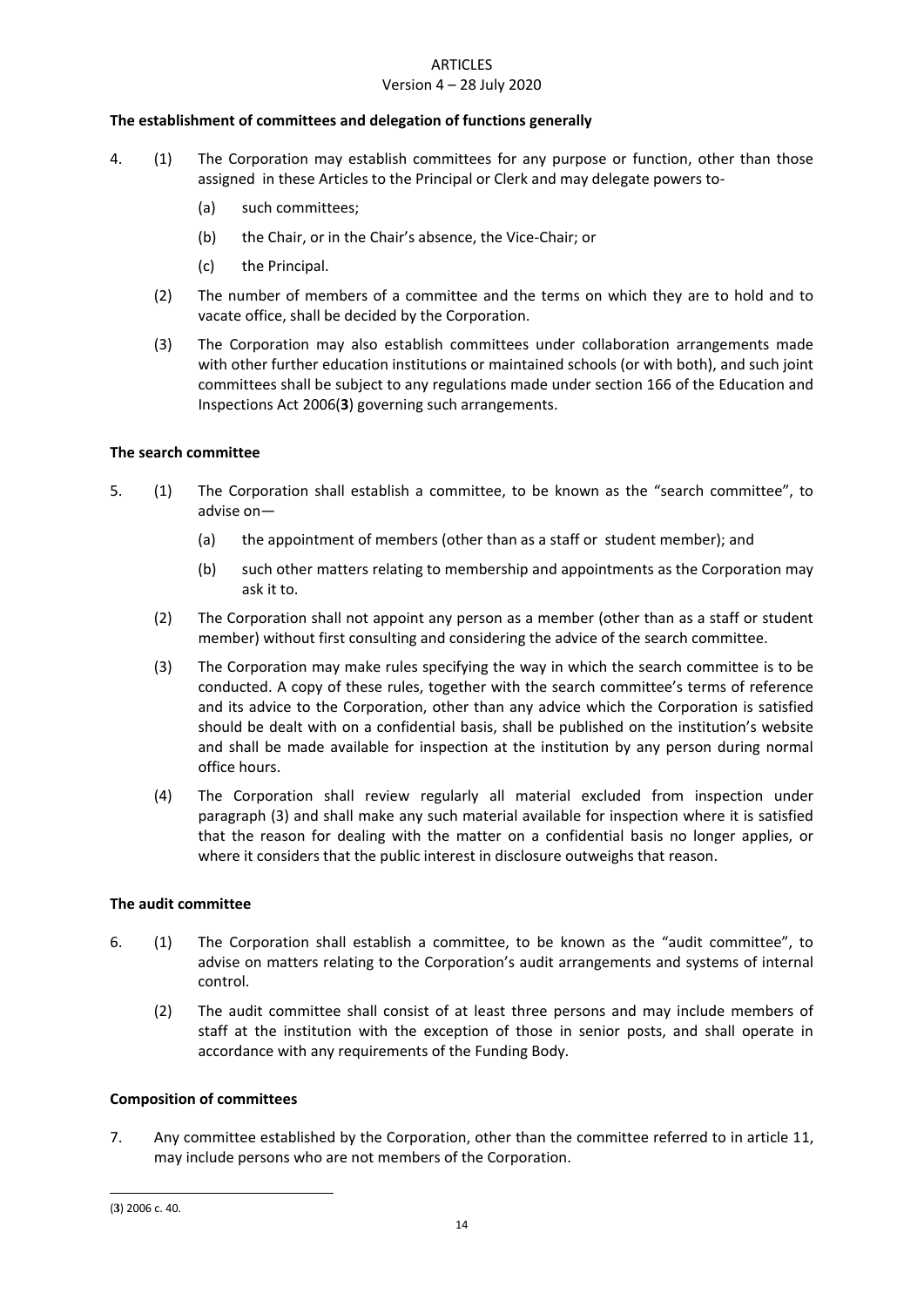# **ARTICLES**

#### Version 4 – 28 July 2020

## <span id="page-14-0"></span>**The establishment of committees and delegation of functions generally**

- 4. (1) The Corporation may establish committees for any purpose or function, other than those assigned in these Articles to the Principal or Clerk and may delegate powers to-
	- (a) such committees;
	- (b) the Chair, or in the Chair's absence, the Vice-Chair; or
	- (c) the Principal.
	- (2) The number of members of a committee and the terms on which they are to hold and to vacate office, shall be decided by the Corporation.
	- (3) The Corporation may also establish committees under collaboration arrangements made with other further education institutions or maintained schools (or with both), and such joint committees shall be subject to any regulations made under section 166 of the Education and Inspections Act 2006(**3**) governing such arrangements.

# <span id="page-14-1"></span>**The search committee**

- 5. (1) The Corporation shall establish a committee, to be known as the "search committee", to advise on—
	- (a) the appointment of members (other than as a staff or student member); and
	- (b) such other matters relating to membership and appointments as the Corporation may ask it to.
	- (2) The Corporation shall not appoint any person as a member (other than as a staff or student member) without first consulting and considering the advice of the search committee.
	- (3) The Corporation may make rules specifying the way in which the search committee is to be conducted. A copy of these rules, together with the search committee's terms of reference and its advice to the Corporation, other than any advice which the Corporation is satisfied should be dealt with on a confidential basis, shall be published on the institution's website and shall be made available for inspection at the institution by any person during normal office hours.
	- (4) The Corporation shall review regularly all material excluded from inspection under paragraph (3) and shall make any such material available for inspection where it is satisfied that the reason for dealing with the matter on a confidential basis no longer applies, or where it considers that the public interest in disclosure outweighs that reason.

# <span id="page-14-2"></span>**The audit committee**

- 6. (1) The Corporation shall establish a committee, to be known as the "audit committee", to advise on matters relating to the Corporation's audit arrangements and systems of internal control.
	- (2) The audit committee shall consist of at least three persons and may include members of staff at the institution with the exception of those in senior posts, and shall operate in accordance with any requirements of the Funding Body.

# <span id="page-14-3"></span>**Composition of committees**

7. Any committee established by the Corporation, other than the committee referred to in article 11, may include persons who are not members of the Corporation.

-

<sup>(</sup>**3**) 2006 c. 40.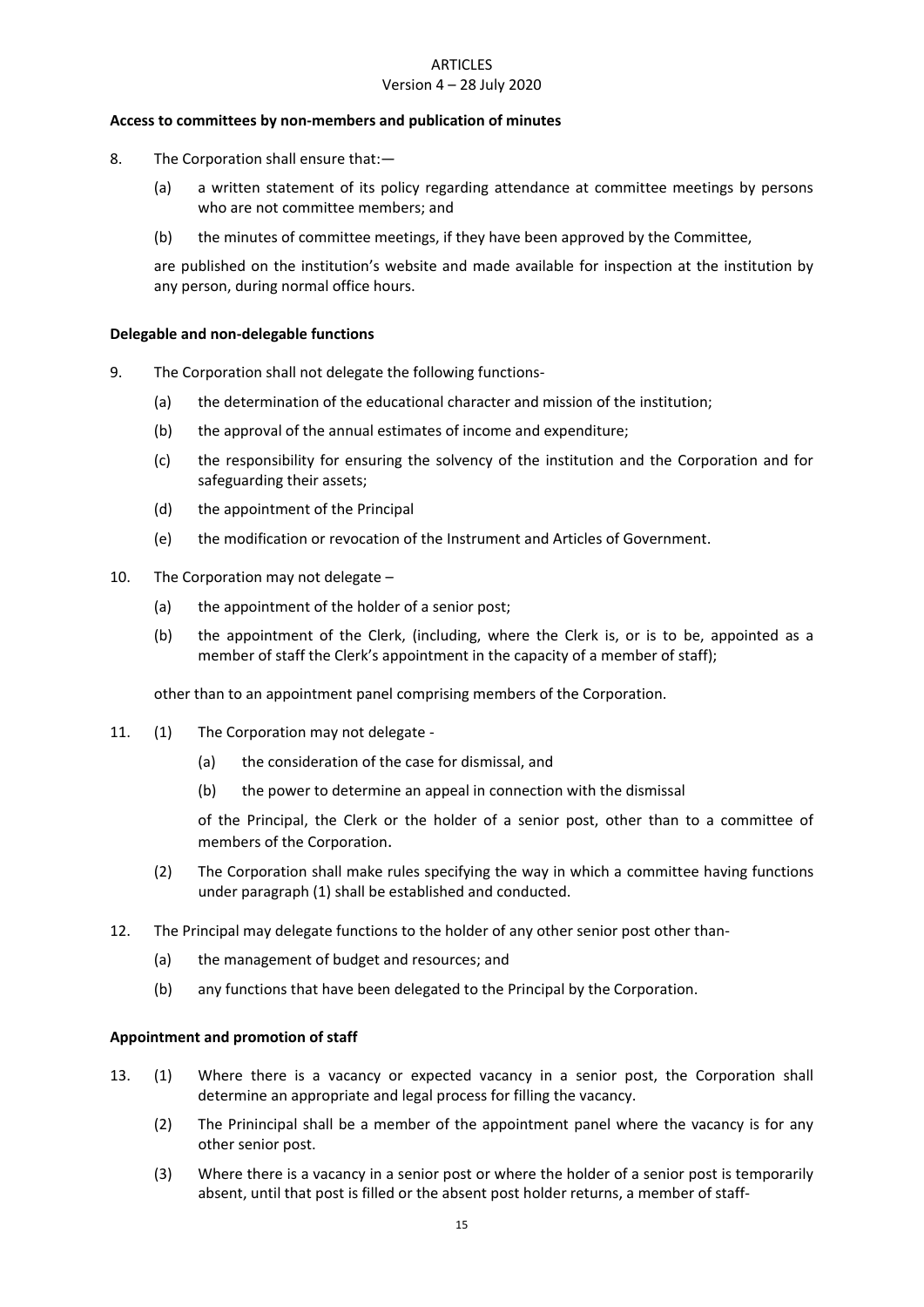# **ARTICLES** Version 4 – 28 July 2020

#### <span id="page-15-0"></span>**Access to committees by non-members and publication of minutes**

- 8. The Corporation shall ensure that:—
	- (a) a written statement of its policy regarding attendance at committee meetings by persons who are not committee members; and
	- (b) the minutes of committee meetings, if they have been approved by the Committee,

are published on the institution's website and made available for inspection at the institution by any person, during normal office hours.

#### <span id="page-15-1"></span>**Delegable and non-delegable functions**

- 9. The Corporation shall not delegate the following functions-
	- (a) the determination of the educational character and mission of the institution;
	- (b) the approval of the annual estimates of income and expenditure;
	- (c) the responsibility for ensuring the solvency of the institution and the Corporation and for safeguarding their assets;
	- (d) the appointment of the Principal
	- (e) the modification or revocation of the Instrument and Articles of Government.
- 10. The Corporation may not delegate
	- (a) the appointment of the holder of a senior post;
	- (b) the appointment of the Clerk, (including, where the Clerk is, or is to be, appointed as a member of staff the Clerk's appointment in the capacity of a member of staff);

other than to an appointment panel comprising members of the Corporation.

- 11. (1) The Corporation may not delegate
	- (a) the consideration of the case for dismissal, and
	- (b) the power to determine an appeal in connection with the dismissal

of the Principal, the Clerk or the holder of a senior post, other than to a committee of members of the Corporation.

- (2) The Corporation shall make rules specifying the way in which a committee having functions under paragraph (1) shall be established and conducted.
- 12. The Principal may delegate functions to the holder of any other senior post other than-
	- (a) the management of budget and resources; and
	- (b) any functions that have been delegated to the Principal by the Corporation.

#### <span id="page-15-2"></span>**Appointment and promotion of staff**

- 13. (1) Where there is a vacancy or expected vacancy in a senior post, the Corporation shall determine an appropriate and legal process for filling the vacancy.
	- (2) The Prinincipal shall be a member of the appointment panel where the vacancy is for any other senior post.
	- (3) Where there is a vacancy in a senior post or where the holder of a senior post is temporarily absent, until that post is filled or the absent post holder returns, a member of staff-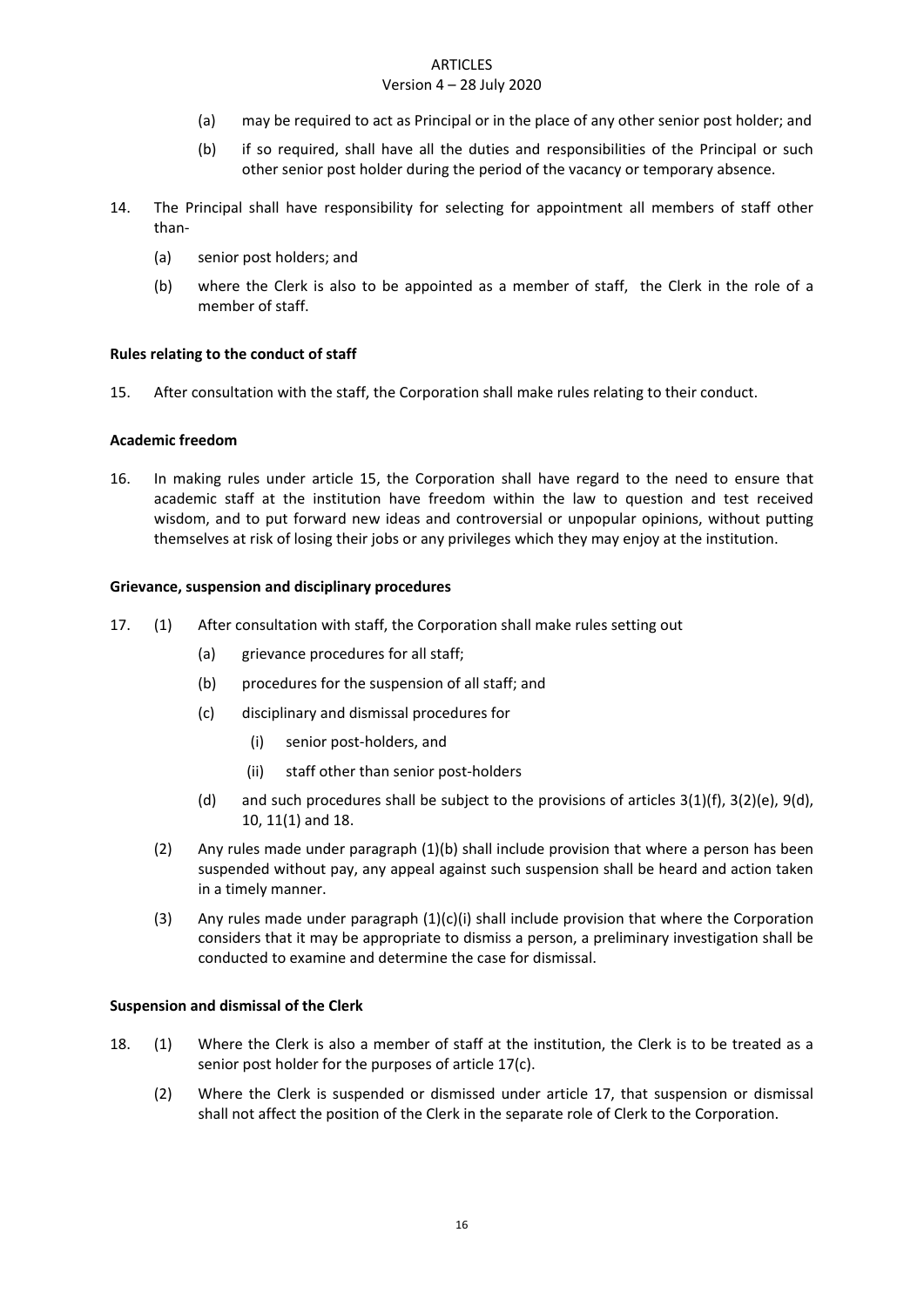#### **ARTICLES**

# Version 4 – 28 July 2020

- (a) may be required to act as Principal or in the place of any other senior post holder; and
- (b) if so required, shall have all the duties and responsibilities of the Principal or such other senior post holder during the period of the vacancy or temporary absence.
- 14. The Principal shall have responsibility for selecting for appointment all members of staff other than-
	- (a) senior post holders; and
	- (b) where the Clerk is also to be appointed as a member of staff, the Clerk in the role of a member of staff.

### <span id="page-16-0"></span>**Rules relating to the conduct of staff**

15. After consultation with the staff, the Corporation shall make rules relating to their conduct.

#### <span id="page-16-1"></span>**Academic freedom**

16. In making rules under article 15, the Corporation shall have regard to the need to ensure that academic staff at the institution have freedom within the law to question and test received wisdom, and to put forward new ideas and controversial or unpopular opinions, without putting themselves at risk of losing their jobs or any privileges which they may enjoy at the institution.

### <span id="page-16-2"></span>**Grievance, suspension and disciplinary procedures**

- 17. (1) After consultation with staff, the Corporation shall make rules setting out
	- (a) grievance procedures for all staff;
	- (b) procedures for the suspension of all staff; and
	- (c) disciplinary and dismissal procedures for
		- (i) senior post-holders, and
		- (ii) staff other than senior post-holders
	- (d) and such procedures shall be subject to the provisions of articles  $3(1)(f)$ ,  $3(2)(e)$ ,  $9(d)$ , 10, 11(1) and 18.
	- (2) Any rules made under paragraph (1)(b) shall include provision that where a person has been suspended without pay, any appeal against such suspension shall be heard and action taken in a timely manner.
	- (3) Any rules made under paragraph  $(1)(c)(i)$  shall include provision that where the Corporation considers that it may be appropriate to dismiss a person, a preliminary investigation shall be conducted to examine and determine the case for dismissal.

#### <span id="page-16-3"></span>**Suspension and dismissal of the Clerk**

- 18. (1) Where the Clerk is also a member of staff at the institution, the Clerk is to be treated as a senior post holder for the purposes of article 17(c).
	- (2) Where the Clerk is suspended or dismissed under article 17, that suspension or dismissal shall not affect the position of the Clerk in the separate role of Clerk to the Corporation.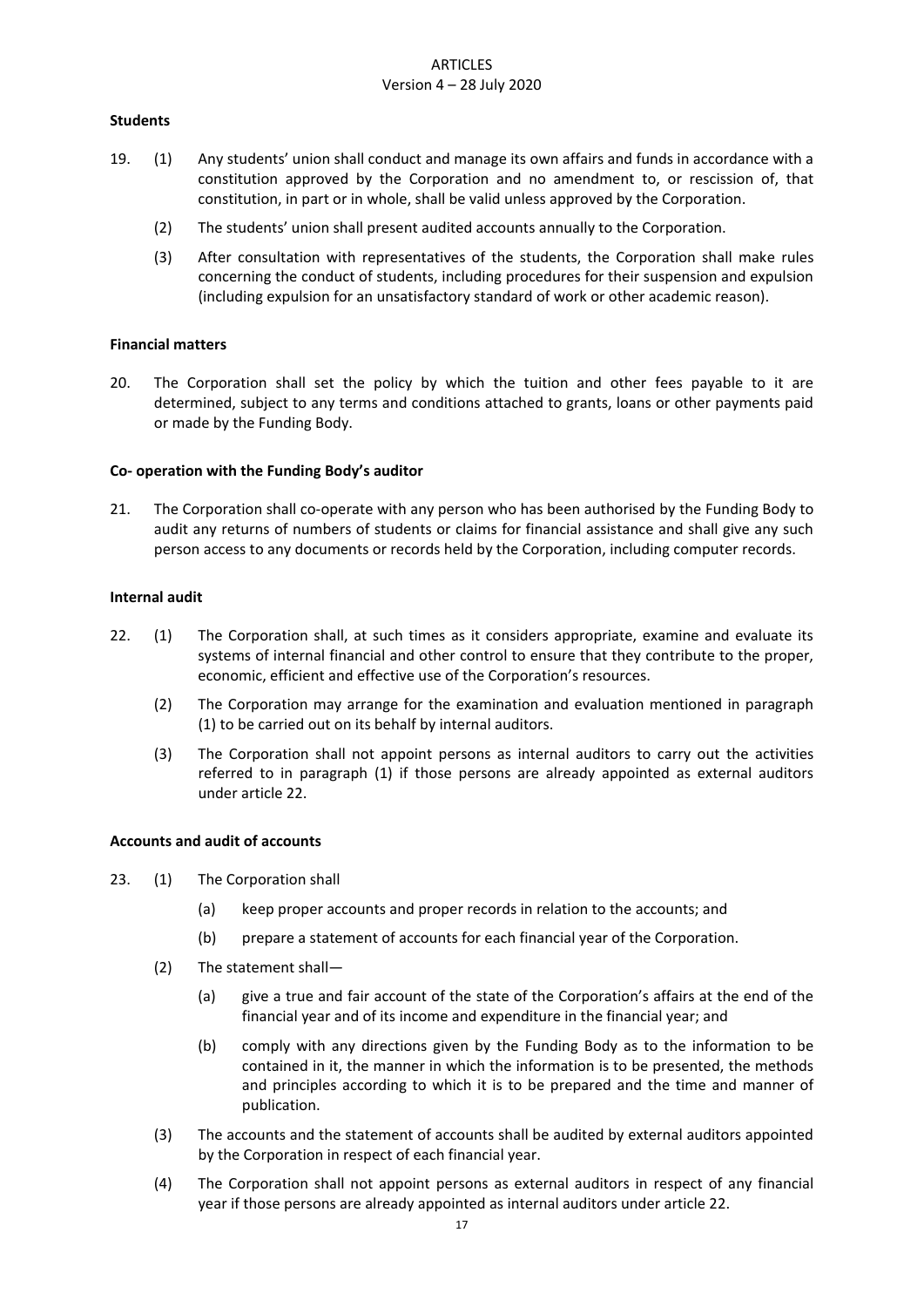# <span id="page-17-0"></span>**Students**

- 19. (1) Any students' union shall conduct and manage its own affairs and funds in accordance with a constitution approved by the Corporation and no amendment to, or rescission of, that constitution, in part or in whole, shall be valid unless approved by the Corporation.
	- (2) The students' union shall present audited accounts annually to the Corporation.
	- (3) After consultation with representatives of the students, the Corporation shall make rules concerning the conduct of students, including procedures for their suspension and expulsion (including expulsion for an unsatisfactory standard of work or other academic reason).

### <span id="page-17-1"></span>**Financial matters**

20. The Corporation shall set the policy by which the tuition and other fees payable to it are determined, subject to any terms and conditions attached to grants, loans or other payments paid or made by the Funding Body.

### <span id="page-17-2"></span>**Co- operation with the Funding Body's auditor**

21. The Corporation shall co-operate with any person who has been authorised by the Funding Body to audit any returns of numbers of students or claims for financial assistance and shall give any such person access to any documents or records held by the Corporation, including computer records.

#### <span id="page-17-3"></span>**Internal audit**

- 22. (1) The Corporation shall, at such times as it considers appropriate, examine and evaluate its systems of internal financial and other control to ensure that they contribute to the proper, economic, efficient and effective use of the Corporation's resources.
	- (2) The Corporation may arrange for the examination and evaluation mentioned in paragraph (1) to be carried out on its behalf by internal auditors.
	- (3) The Corporation shall not appoint persons as internal auditors to carry out the activities referred to in paragraph (1) if those persons are already appointed as external auditors under article 22.

#### <span id="page-17-4"></span>**Accounts and audit of accounts**

- 23. (1) The Corporation shall
	- (a) keep proper accounts and proper records in relation to the accounts; and
	- (b) prepare a statement of accounts for each financial year of the Corporation.
	- (2) The statement shall—
		- (a) give a true and fair account of the state of the Corporation's affairs at the end of the financial year and of its income and expenditure in the financial year; and
		- (b) comply with any directions given by the Funding Body as to the information to be contained in it, the manner in which the information is to be presented, the methods and principles according to which it is to be prepared and the time and manner of publication.
	- (3) The accounts and the statement of accounts shall be audited by external auditors appointed by the Corporation in respect of each financial year.
	- (4) The Corporation shall not appoint persons as external auditors in respect of any financial year if those persons are already appointed as internal auditors under article 22.